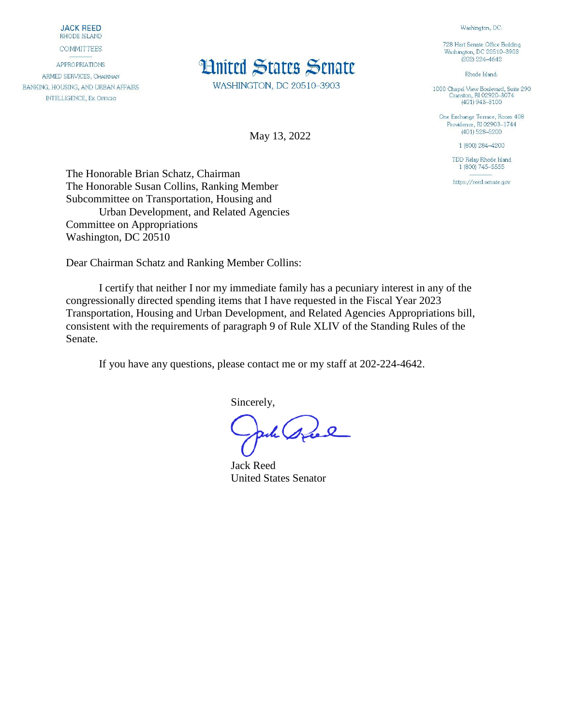**JACK REED** RHODE ISLAND

**COMMITTEES** 

**APPROPRIATIONS** ARMED SERVICES, CHAIRMAN BANKING, HOUSING, AND URBAN AFFAIRS **INTELLIGENCE, EX OFFICIO** 

## **Hnited States Senate**

WASHINGTON, DC 20510-3903

May 13, 2022

728 Hart Senate Office Building Washington, DC 20510-3903  $(202)$  224-4642

Washington, DC:

Rhode Island:

1000 Chapel View Boulevard, Suite 290<br>Cranston, RI 02920-3074  $(401)$  943-3100

One Exchange Terrace, Room 408 Providence, RI 02903-1744  $(401)$  528-5200

1 (800) 284-4200

TDD Relay Rhode Island 1 (800) 745-5555

https://reed.senate.gov

The Honorable Brian Schatz, Chairman The Honorable Susan Collins, Ranking Member Subcommittee on Transportation, Housing and Urban Development, and Related Agencies Committee on Appropriations Washington, DC 20510

Dear Chairman Schatz and Ranking Member Collins:

I certify that neither I nor my immediate family has a pecuniary interest in any of the congressionally directed spending items that I have requested in the Fiscal Year 2023 Transportation, Housing and Urban Development, and Related Agencies Appropriations bill, consistent with the requirements of paragraph 9 of Rule XLIV of the Standing Rules of the Senate.

If you have any questions, please contact me or my staff at 202-224-4642.

Sincerely,

pole speel

Jack Reed United States Senator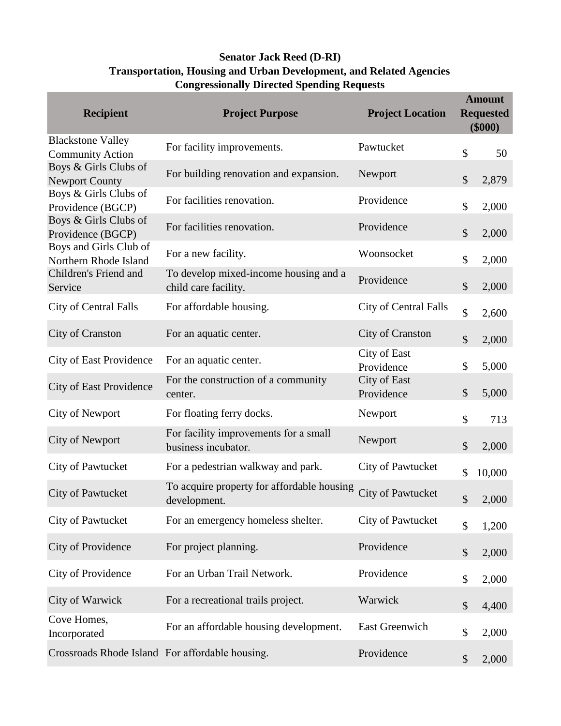## **Senator Jack Reed (D-RI) Transportation, Housing and Urban Development, and Related Agencies Congressionally Directed Spending Requests**

| <b>Recipient</b>                                    | <b>Project Purpose</b>                                        | <b>Project Location</b>      | <b>Amount</b><br><b>Requested</b><br>$(\$000)$ |        |
|-----------------------------------------------------|---------------------------------------------------------------|------------------------------|------------------------------------------------|--------|
| <b>Blackstone Valley</b><br><b>Community Action</b> | For facility improvements.                                    | Pawtucket                    | \$                                             | 50     |
| Boys & Girls Clubs of<br><b>Newport County</b>      | For building renovation and expansion.                        | Newport                      | \$                                             | 2,879  |
| Boys & Girls Clubs of<br>Providence (BGCP)          | For facilities renovation.                                    | Providence                   | \$                                             | 2,000  |
| Boys & Girls Clubs of<br>Providence (BGCP)          | For facilities renovation.                                    | Providence                   | \$                                             | 2,000  |
| Boys and Girls Club of<br>Northern Rhode Island     | For a new facility.                                           | Woonsocket                   | \$                                             | 2,000  |
| Children's Friend and<br>Service                    | To develop mixed-income housing and a<br>child care facility. | Providence                   | \$                                             | 2,000  |
| City of Central Falls                               | For affordable housing.                                       | <b>City of Central Falls</b> | \$                                             | 2,600  |
| City of Cranston                                    | For an aquatic center.                                        | <b>City of Cranston</b>      | $\mathcal{S}$                                  | 2,000  |
| <b>City of East Providence</b>                      | For an aquatic center.                                        | City of East<br>Providence   | \$                                             | 5,000  |
| <b>City of East Providence</b>                      | For the construction of a community<br>center.                | City of East<br>Providence   | $\mathcal{S}$                                  | 5,000  |
| <b>City of Newport</b>                              | For floating ferry docks.                                     | Newport                      | \$                                             | 713    |
| <b>City of Newport</b>                              | For facility improvements for a small<br>business incubator.  | Newport                      | \$                                             | 2,000  |
| City of Pawtucket                                   | For a pedestrian walkway and park.                            | <b>City of Pawtucket</b>     | \$                                             | 10,000 |
| City of Pawtucket                                   | To acquire property for affordable housing<br>development.    | <b>City of Pawtucket</b>     | \$                                             | 2,000  |
| City of Pawtucket                                   | For an emergency homeless shelter.                            | <b>City of Pawtucket</b>     | \$                                             | 1,200  |
| City of Providence                                  | For project planning.                                         | Providence                   | \$                                             | 2,000  |
| City of Providence                                  | For an Urban Trail Network.                                   | Providence                   | \$                                             | 2,000  |
| City of Warwick                                     | For a recreational trails project.                            | Warwick                      | \$                                             | 4,400  |
| Cove Homes,<br>Incorporated                         | For an affordable housing development.                        | <b>East Greenwich</b>        | \$                                             | 2,000  |
| Crossroads Rhode Island For affordable housing.     |                                                               | Providence                   | \$                                             | 2,000  |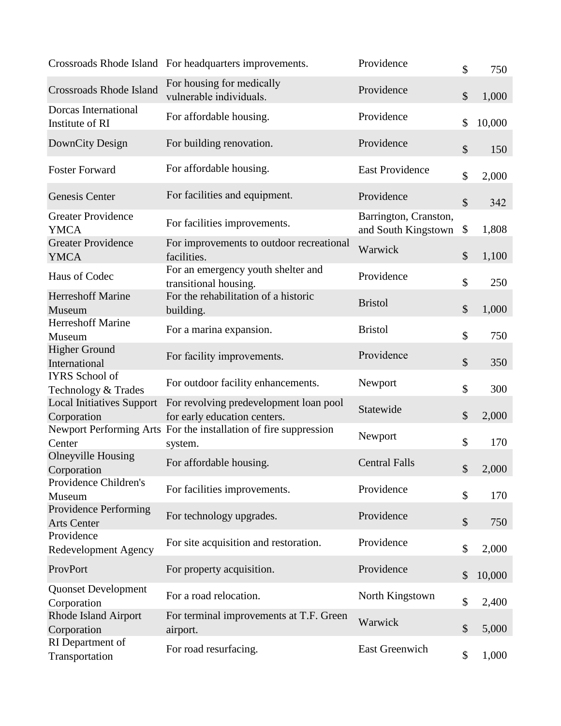|                                                 | Crossroads Rhode Island For headquarters improvements.                      | Providence                                   | \$<br>750    |
|-------------------------------------------------|-----------------------------------------------------------------------------|----------------------------------------------|--------------|
| <b>Crossroads Rhode Island</b>                  | For housing for medically<br>vulnerable individuals.                        | Providence                                   | \$<br>1,000  |
| Dorcas International<br>Institute of RI         | For affordable housing.                                                     | Providence                                   | \$<br>10,000 |
| DownCity Design                                 | For building renovation.                                                    | Providence                                   | \$<br>150    |
| <b>Foster Forward</b>                           | For affordable housing.                                                     | <b>East Providence</b>                       | \$<br>2,000  |
| Genesis Center                                  | For facilities and equipment.                                               | Providence                                   | \$<br>342    |
| <b>Greater Providence</b><br><b>YMCA</b>        | For facilities improvements.                                                | Barrington, Cranston,<br>and South Kingstown | \$<br>1,808  |
| <b>Greater Providence</b><br><b>YMCA</b>        | For improvements to outdoor recreational<br>facilities.                     | Warwick                                      | \$<br>1,100  |
| Haus of Codec                                   | For an emergency youth shelter and<br>transitional housing.                 | Providence                                   | \$<br>250    |
| <b>Herreshoff Marine</b><br>Museum              | For the rehabilitation of a historic<br>building.                           | <b>Bristol</b>                               | \$<br>1,000  |
| <b>Herreshoff Marine</b><br>Museum              | For a marina expansion.                                                     | <b>Bristol</b>                               | \$<br>750    |
| <b>Higher Ground</b><br>International           | For facility improvements.                                                  | Providence                                   | \$<br>350    |
| <b>IYRS</b> School of<br>Technology & Trades    | For outdoor facility enhancements.                                          | Newport                                      | \$<br>300    |
| <b>Local Initiatives Support</b><br>Corporation | For revolving predevelopment loan pool<br>for early education centers.      | Statewide                                    | \$<br>2,000  |
| Center                                          | Newport Performing Arts For the installation of fire suppression<br>system. | Newport                                      | \$<br>170    |
| <b>Olneyville Housing</b><br>Corporation        | For affordable housing.                                                     | <b>Central Falls</b>                         | \$<br>2,000  |
| Providence Children's<br>Museum                 | For facilities improvements.                                                | Providence                                   | \$<br>170    |
| Providence Performing<br><b>Arts Center</b>     | For technology upgrades.                                                    | Providence                                   | \$<br>750    |
| Providence<br><b>Redevelopment Agency</b>       | For site acquisition and restoration.                                       | Providence                                   | \$<br>2,000  |
| ProvPort                                        | For property acquisition.                                                   | Providence                                   | \$<br>10,000 |
| <b>Quonset Development</b><br>Corporation       | For a road relocation.                                                      | North Kingstown                              | \$<br>2,400  |
| <b>Rhode Island Airport</b><br>Corporation      | For terminal improvements at T.F. Green<br>airport.                         | Warwick                                      | \$<br>5,000  |
| RI Department of<br>Transportation              | For road resurfacing.                                                       | <b>East Greenwich</b>                        | \$<br>1,000  |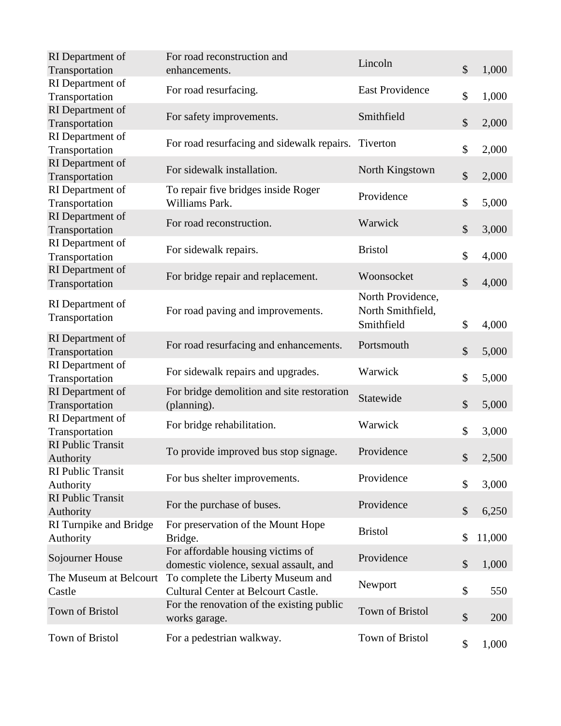| RI Department of<br>Transportation    | For road reconstruction and<br>enhancements.                                     | Lincoln                                              | \$<br>1,000  |
|---------------------------------------|----------------------------------------------------------------------------------|------------------------------------------------------|--------------|
| RI Department of<br>Transportation    | For road resurfacing.                                                            | <b>East Providence</b>                               | \$<br>1,000  |
| RI Department of<br>Transportation    | For safety improvements.                                                         | Smithfield                                           | \$<br>2,000  |
| RI Department of<br>Transportation    | For road resurfacing and sidewalk repairs. Tiverton                              |                                                      | \$<br>2,000  |
| RI Department of<br>Transportation    | For sidewalk installation.                                                       | North Kingstown                                      | \$<br>2,000  |
| RI Department of<br>Transportation    | To repair five bridges inside Roger<br>Williams Park.                            | Providence                                           | \$<br>5,000  |
| RI Department of<br>Transportation    | For road reconstruction.                                                         | Warwick                                              | \$<br>3,000  |
| RI Department of<br>Transportation    | For sidewalk repairs.                                                            | <b>Bristol</b>                                       | \$<br>4,000  |
| RI Department of<br>Transportation    | For bridge repair and replacement.                                               | Woonsocket                                           | \$<br>4,000  |
| RI Department of<br>Transportation    | For road paving and improvements.                                                | North Providence,<br>North Smithfield,<br>Smithfield | \$<br>4,000  |
| RI Department of<br>Transportation    | For road resurfacing and enhancements.                                           | Portsmouth                                           | \$<br>5,000  |
| RI Department of<br>Transportation    | For sidewalk repairs and upgrades.                                               | Warwick                                              | \$<br>5,000  |
| RI Department of<br>Transportation    | For bridge demolition and site restoration<br>(planning).                        | Statewide                                            | \$<br>5,000  |
| RI Department of<br>Transportation    | For bridge rehabilitation.                                                       | Warwick                                              | \$<br>3,000  |
| <b>RI</b> Public Transit<br>Authority | To provide improved bus stop signage.                                            | Providence                                           | \$<br>2,500  |
| <b>RI</b> Public Transit<br>Authority | For bus shelter improvements.                                                    | Providence                                           | \$<br>3,000  |
| <b>RI Public Transit</b><br>Authority | For the purchase of buses.                                                       | Providence                                           | \$<br>6,250  |
| RI Turnpike and Bridge<br>Authority   | For preservation of the Mount Hope<br>Bridge.                                    | <b>Bristol</b>                                       | \$<br>11,000 |
| Sojourner House                       | For affordable housing victims of<br>domestic violence, sexual assault, and      | Providence                                           | \$<br>1,000  |
| The Museum at Belcourt<br>Castle      | To complete the Liberty Museum and<br><b>Cultural Center at Belcourt Castle.</b> | Newport                                              | \$<br>550    |
| Town of Bristol                       | For the renovation of the existing public<br>works garage.                       | <b>Town of Bristol</b>                               | \$<br>200    |
| Town of Bristol                       | For a pedestrian walkway.                                                        | Town of Bristol                                      | \$<br>1,000  |